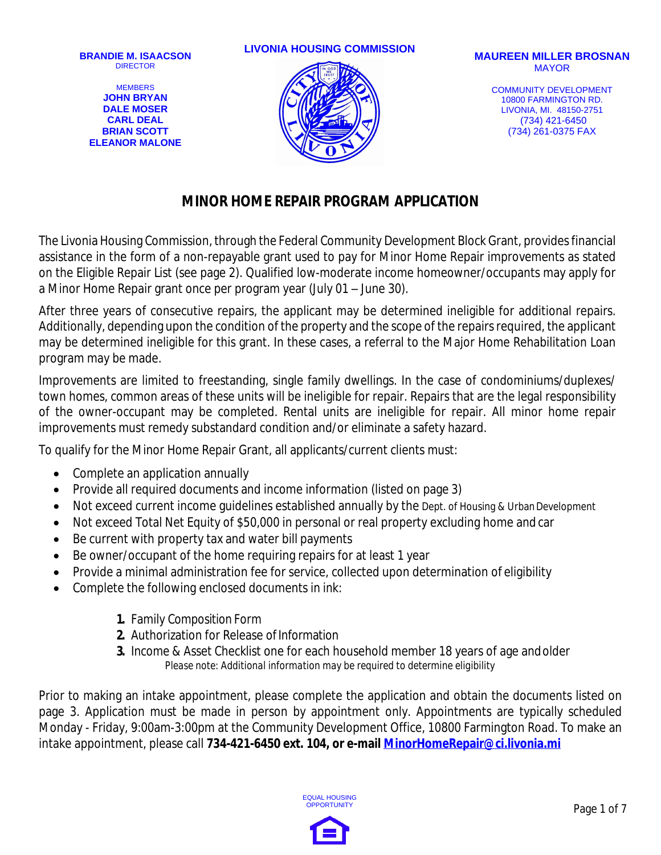MEMBERS **JOHN BRYAN DALE MOSER CARL DEAL BRIAN SCOTT ELEANOR MALONE**

#### **LIVONIA HOUSING COMMISSION MAUREEN MILLER BROSNAN**



# MAYOR

COMMUNITY DEVELOPMENT 10800 FARMINGTON RD. LIVONIA, MI. 48150-2751 (734) 421-6450 (734) 261-0375 FAX

#### **MINOR HOME REPAIR PROGRAM APPLICATION**

The Livonia Housing Commission, through the Federal Community Development Block Grant, providesfinancial assistance in the form of a non-repayable grant used to pay for Minor Home Repair improvements as stated on the Eligible Repair List (see page 2). Qualified low-moderate income homeowner/occupants may apply for a Minor Home Repair grant once per program year (July 01 – June 30).

After three years of consecutive repairs, the applicant may be determined ineligible for additional repairs. Additionally, depending upon the condition of the property and the scope of the repairs required, the applicant may be determined ineligible for this grant. In these cases, a referral to the Major Home Rehabilitation Loan program may be made.

Improvements are limited to freestanding, single family dwellings. In the case of condominiums/duplexes/ town homes, common areas of these units will be ineligible for repair. Repairs that are the legal responsibility of the owner-occupant may be completed. Rental units are ineligible for repair. All minor home repair improvements must remedy substandard condition and/or eliminate a safety hazard.

To qualify for the Minor Home Repair Grant, all applicants/current clients must:

- Complete an application annually
- Provide all required documents and income information (listed on page 3)
- Not exceed current income quidelines established annually by the Dept. of Housing & Urban Development
- Not exceed Total Net Equity of \$50,000 in personal or real property excluding home and car
- Be current with property tax and water bill payments
- Be owner/occupant of the home requiring repairs for at least 1 year
- Provide a minimal administration fee for service, collected upon determination of eligibility
- Complete the following enclosed documents *in ink*:
	- **1.** Family Composition Form
	- **2.** Authorization for Release of Information
	- **3.** Income & Asset Checklist one for each household member 18 years of age andolder *Please note: Additional information may be required to determine eligibility*

Prior to making an intake appointment, please complete the application and obtain the documents listed on page 3. Application must be made in person by appointment only. Appointments are typically scheduled Monday - Friday, 9:00am-3:00pm at the Community Development Office, 10800 Farmington Road. To make an intake appointment, please call **734-421-6450 ext. 104, or e-mail [MinorHomeRepair@ci.livonia.mi](mailto:MinorHomeRepair@ci.livonia.mi)**

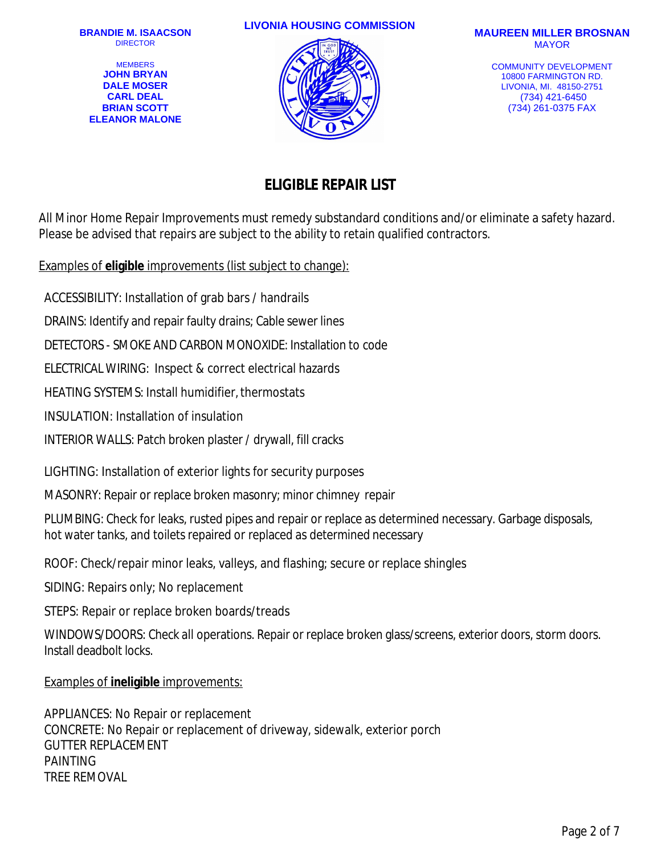**MEMBERS JOHN BRYAN DALE MOSER CARL DEAL BRIAN SCOTT ELEANOR MALONE**

#### **LIVONIA HOUSING COMMISSION MAUREEN MILLER BROSNAN**



# MAYOR

COMMUNITY DEVELOPMENT 10800 FARMINGTON RD. LIVONIA, MI. 48150-2751 (734) 421-6450 (734) 261-0375 FAX

## **ELIGIBLE REPAIR LIST**

All Minor Home Repair Improvements must remedy substandard conditions and/or eliminate a safety hazard. Please be advised that repairs are subject to the ability to retain qualified contractors.

Examples of **eligible** improvements (list subject to change):

ACCESSIBILITY: Installation of grab bars / handrails

DRAINS: Identify and repair faulty drains; Cable sewer lines

DETECTORS - SMOKE AND CARBON MONOXIDE: Installation to code

ELECTRICAL WIRING: Inspect & correct electrical hazards

HEATING SYSTEMS: Install humidifier, thermostats

INSULATION: Installation of insulation

INTERIOR WALLS: Patch broken plaster / drywall, fill cracks

LIGHTING: Installation of exterior lights for security purposes

MASONRY: Repair or replace broken masonry; minor chimney repair

PLUMBING: Check for leaks, rusted pipes and repair or replace as determined necessary. Garbage disposals, hot water tanks, and toilets repaired or replaced as determined necessary

ROOF: Check/repair minor leaks, valleys, and flashing; secure or replace shingles

SIDING: Repairs only; No replacement

STEPS: Repair or replace broken boards/treads

WINDOWS/DOORS: Check all operations. Repair or replace broken glass/screens, exterior doors, storm doors. Install deadbolt locks.

#### Examples of **ineligible** improvements:

APPLIANCES: No Repair or replacement CONCRETE: No Repair or replacement of driveway, sidewalk, exterior porch GUTTER REPLACEMENT PAINTING TREE REMOVAL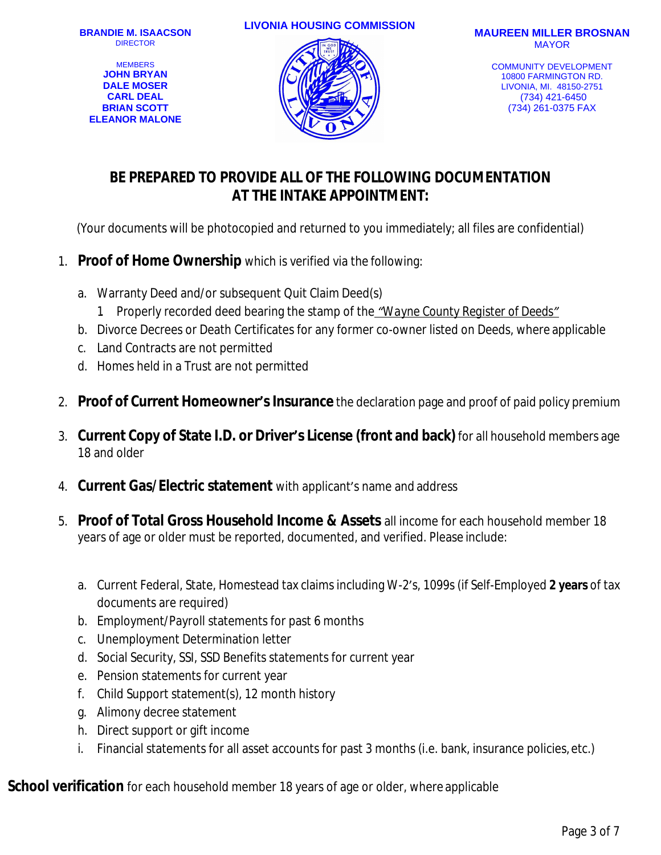**MEMBERS JOHN BRYAN DALE MOSER CARL DEAL BRIAN SCOTT ELEANOR MALONE**

#### **LIVONIA HOUSING COMMISSION MAUREEN MILLER BROSNAN**



# MAYOR

COMMUNITY DEVELOPMENT 10800 FARMINGTON RD. LIVONIA, MI. 48150-2751 (734) 421-6450 (734) 261-0375 FAX

## **BE PREPARED TO PROVIDE ALL OF THE FOLLOWING DOCUMENTATION AT THE INTAKE APPOINTMENT:**

(Your documents will be photocopied and returned to you immediately; all files are confidential)

- 1. **Proof of Home Ownership** which is verified via the following:
	- a. Warranty Deed and/or subsequent Quit Claim Deed(s)
		- *1.* Properly recorded deed bearing the stamp of the *"Wayne County Register of Deeds"*
	- b. Divorce Decrees or Death Certificates for any former co-owner listed on Deeds, where applicable
	- c. Land Contracts are not permitted
	- d. Homes held in a Trust are not permitted
- 2. **Proof of Current Homeowner'sInsurance** the declaration page and proof of paid policy premium
- 3. **Current Copy of State I.D. or Driver's License (front and back)** for all household members age 18 and older
- 4. **Current Gas/Electric statement** with applicant's name and address
- 5. **Proof of Total Gross Household Income & Assets** all income for each household member 18 years of age or older must be reported, documented, and verified. Please include:
	- a. Current Federal, State, Homestead tax claims including W-2's, 1099s (if Self-Employed **2 years** of tax documents are required)
	- b. Employment/Payroll statements for past 6 months
	- c. Unemployment Determination letter
	- d. Social Security, SSI, SSD Benefits statements for current year
	- e. Pension statements for current year
	- f. Child Support statement(s), 12 month history
	- g. Alimony decree statement
	- h. Direct support or gift income
	- i. Financial statements for all asset accounts for past 3 months (i.e. bank, insurance policies, etc.)

**School verification** for each household member 18 years of age or older, where applicable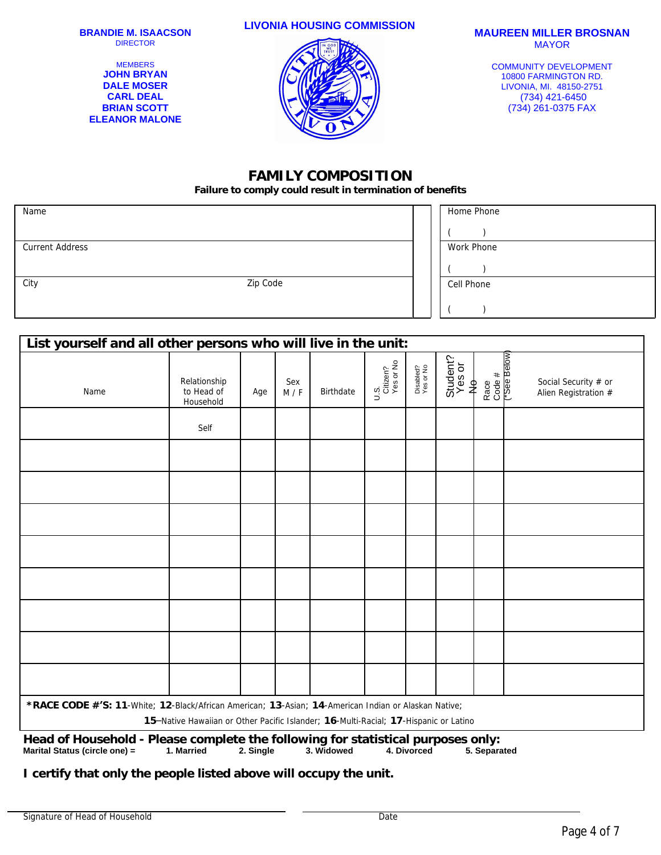MEMBERS **JOHN BRYAN DALE MOSER CARL DEAL BRIAN SCOTT ELEANOR MALONE**

## **LIVONIA HOUSING COMMISSION MAUREEN MILLER BROSNAN**

MAYOR

COMMUNITY DEVELOPMENT 10800 FARMINGTON RD. LIVONIA, MI. 48150-2751 (734) 421-6450 (734) 261-0375 FAX

#### **FAMILY COMPOSITION**

**Failure to comply could result in termination of benefits**

| Name                   |          | Home Phone |
|------------------------|----------|------------|
|                        |          |            |
| <b>Current Address</b> |          | Work Phone |
|                        |          |            |
| City                   | Zip Code | Cell Phone |
|                        |          |            |

| List yourself and all other persons who will live in the unit:                                                                                                                               |                                         |     |            |           |                               |                        |                         |                               |                                              |
|----------------------------------------------------------------------------------------------------------------------------------------------------------------------------------------------|-----------------------------------------|-----|------------|-----------|-------------------------------|------------------------|-------------------------|-------------------------------|----------------------------------------------|
| Name                                                                                                                                                                                         | Relationship<br>to Head of<br>Household | Age | Sex<br>M/F | Birthdate | U.S.<br>Citizen?<br>Yes or No | Disabled?<br>Yes or No | Student?<br>Yes or<br>≹ | Race<br>Code #<br>("See Below | Social Security # or<br>Alien Registration # |
|                                                                                                                                                                                              | Self                                    |     |            |           |                               |                        |                         |                               |                                              |
|                                                                                                                                                                                              |                                         |     |            |           |                               |                        |                         |                               |                                              |
|                                                                                                                                                                                              |                                         |     |            |           |                               |                        |                         |                               |                                              |
|                                                                                                                                                                                              |                                         |     |            |           |                               |                        |                         |                               |                                              |
|                                                                                                                                                                                              |                                         |     |            |           |                               |                        |                         |                               |                                              |
|                                                                                                                                                                                              |                                         |     |            |           |                               |                        |                         |                               |                                              |
|                                                                                                                                                                                              |                                         |     |            |           |                               |                        |                         |                               |                                              |
|                                                                                                                                                                                              |                                         |     |            |           |                               |                        |                         |                               |                                              |
|                                                                                                                                                                                              |                                         |     |            |           |                               |                        |                         |                               |                                              |
| *RACE CODE #'S: 11-White; 12-Black/African American; 13-Asian; 14-American Indian or Alaskan Native;<br>15-Native Hawaiian or Other Pacific Islander; 16-Multi-Racial; 17-Hispanic or Latino |                                         |     |            |           |                               |                        |                         |                               |                                              |
| Head of Household - Please complete the following for statistical purposes only:                                                                                                             |                                         |     |            |           |                               |                        |                         |                               |                                              |

**Marital Status (circle one) = 1. Married 2. Single 3. Widowed 4. Divorced 5. Separated**

**I certify that only the people listed above will occupy the unit.**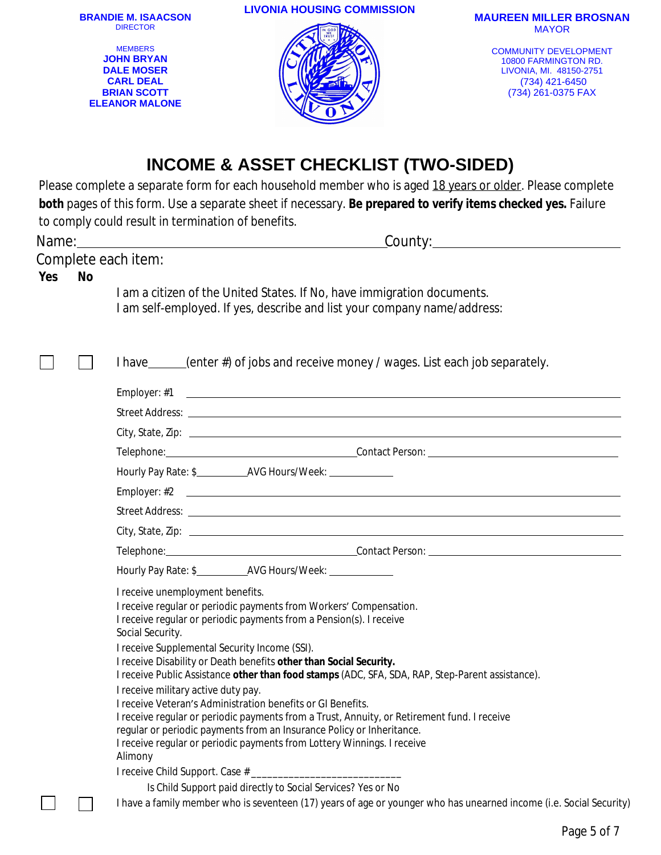|     |           | <b>BRANDIE M. ISAACSON</b><br><b>DIRECTOR</b><br><b>MEMBERS</b><br><b>JOHN BRYAN</b><br><b>DALE MOSER</b><br><b>CARL DEAL</b><br><b>BRIAN SCOTT</b><br><b>ELEANOR MALONE</b> | <b>LIVONIA HOUSING COMMISSION</b>                                                                                                                                                                                                                                                                                                                                                                                                                                                                                                                                                                                                                                                                                            | <b>MAUREEN MILLER BROSNAN</b><br><b>MAYOR</b><br><b>COMMUNITY DEVELOPMENT</b><br>10800 FARMINGTON RD.<br>LIVONIA, MI. 48150-2751<br>(734) 421-6450<br>(734) 261-0375 FAX |
|-----|-----------|------------------------------------------------------------------------------------------------------------------------------------------------------------------------------|------------------------------------------------------------------------------------------------------------------------------------------------------------------------------------------------------------------------------------------------------------------------------------------------------------------------------------------------------------------------------------------------------------------------------------------------------------------------------------------------------------------------------------------------------------------------------------------------------------------------------------------------------------------------------------------------------------------------------|--------------------------------------------------------------------------------------------------------------------------------------------------------------------------|
|     |           | to comply could result in termination of benefits.                                                                                                                           | <b>INCOME &amp; ASSET CHECKLIST (TWO-SIDED)</b><br>Please complete a separate form for each household member who is aged 18 years or older. Please complete<br>both pages of this form. Use a separate sheet if necessary. Be prepared to verify items checked yes. Failure                                                                                                                                                                                                                                                                                                                                                                                                                                                  |                                                                                                                                                                          |
| Yes | <b>No</b> | Complete each item:                                                                                                                                                          | I am a citizen of the United States. If No, have immigration documents.<br>I am self-employed. If yes, describe and list your company name/address:                                                                                                                                                                                                                                                                                                                                                                                                                                                                                                                                                                          |                                                                                                                                                                          |
|     |           | I receive unemployment benefits.<br>Social Security.<br>I receive Supplemental Security Income (SSI).<br>I receive military active duty pay.<br>Alimony                      | I have ______(enter #) of jobs and receive money / wages. List each job separately.<br>I receive regular or periodic payments from Workers' Compensation.<br>I receive regular or periodic payments from a Pension(s). I receive<br>I receive Disability or Death benefits other than Social Security.<br>I receive Public Assistance other than food stamps (ADC, SFA, SDA, RAP, Step-Parent assistance).<br>I receive Veteran's Administration benefits or GI Benefits.<br>I receive regular or periodic payments from a Trust, Annuity, or Retirement fund. I receive<br>regular or periodic payments from an Insurance Policy or Inheritance.<br>I receive regular or periodic payments from Lottery Winnings. I receive |                                                                                                                                                                          |
|     |           |                                                                                                                                                                              | Is Child Support paid directly to Social Services? Yes or No<br>I have a family member who is seventeen (17) years of age or younger who has unearned income (i.e. Social Security)                                                                                                                                                                                                                                                                                                                                                                                                                                                                                                                                          |                                                                                                                                                                          |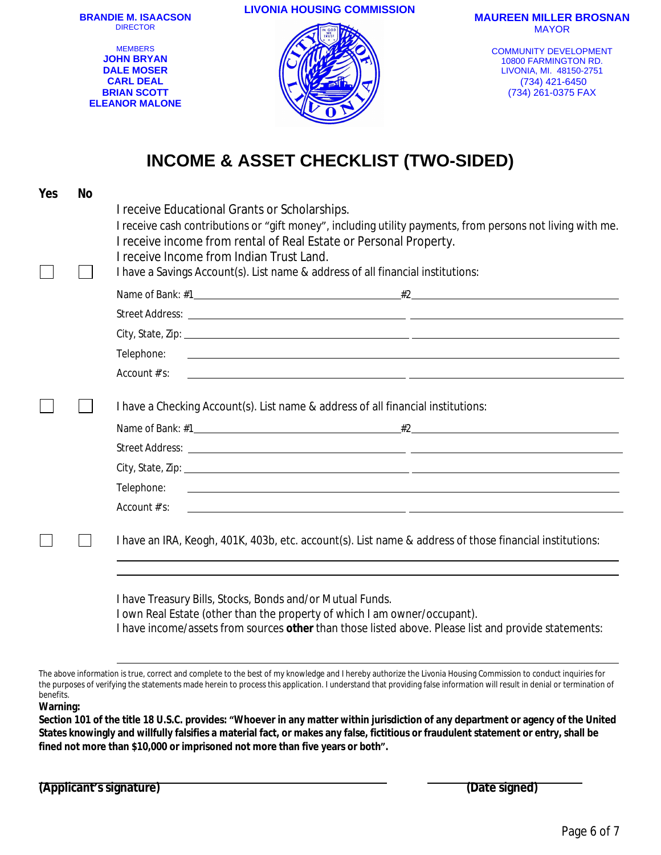**LIVONIA HOUSING COMMISSION MAUREEN MILLER BROSNAN BRANDIE M. ISAACSON** DIRECTOR **MEMBERS** 

**JOHN BRYAN DALE MOSER CARL DEAL BRIAN SCOTT ELEANOR MALONE** MAYOR

COMMUNITY DEVELOPMENT 10800 FARMINGTON RD. LIVONIA, MI. 48150-2751 (734) 421-6450 (734) 261-0375 FAX

## **INCOME & ASSET CHECKLIST (TWO-SIDED)**

| Yes | <b>No</b> |                                                                                                                                                                                                                                                                                                                                                                 |  |  |  |  |
|-----|-----------|-----------------------------------------------------------------------------------------------------------------------------------------------------------------------------------------------------------------------------------------------------------------------------------------------------------------------------------------------------------------|--|--|--|--|
|     |           | I receive Educational Grants or Scholarships.<br>I receive cash contributions or "gift money", including utility payments, from persons not living with me.<br>I receive income from rental of Real Estate or Personal Property.<br>I receive Income from Indian Trust Land.<br>I have a Savings Account(s). List name & address of all financial institutions: |  |  |  |  |
|     |           |                                                                                                                                                                                                                                                                                                                                                                 |  |  |  |  |
|     |           |                                                                                                                                                                                                                                                                                                                                                                 |  |  |  |  |
|     |           |                                                                                                                                                                                                                                                                                                                                                                 |  |  |  |  |
|     |           | Telephone:<br><u> 1999 - Johann Stoff, amerikansk politiker (* 1908)</u>                                                                                                                                                                                                                                                                                        |  |  |  |  |
|     |           | Account #'s:<br><u> 1989 - Andrea Santa Andrea Santa Andrea Santa Andrea Santa Andrea Santa Andrea Santa Andrea Santa Andrea San</u>                                                                                                                                                                                                                            |  |  |  |  |
|     |           | I have a Checking Account(s). List name & address of all financial institutions:                                                                                                                                                                                                                                                                                |  |  |  |  |
|     |           |                                                                                                                                                                                                                                                                                                                                                                 |  |  |  |  |
|     |           |                                                                                                                                                                                                                                                                                                                                                                 |  |  |  |  |
|     |           |                                                                                                                                                                                                                                                                                                                                                                 |  |  |  |  |
|     |           |                                                                                                                                                                                                                                                                                                                                                                 |  |  |  |  |
|     |           | Account #'s:<br><u> 1999 - Jan Samuel Barbara, marka a shekara ta 1999 - An tsara tsa a shekara tsa a shekara tsa a shekara tsa a</u>                                                                                                                                                                                                                           |  |  |  |  |
|     |           | I have an IRA, Keogh, 401K, 403b, etc. account(s). List name & address of those financial institutions:                                                                                                                                                                                                                                                         |  |  |  |  |
|     |           | I have Treasury Bills, Stocks, Bonds and/or Mutual Funds.<br>I own Real Estate (other than the property of which I am owner/occupant).                                                                                                                                                                                                                          |  |  |  |  |

I have income/assets from sources **other** than those listed above. Please list and provide statements:

The above information is true, correct and complete to the best of my knowledge and I hereby authorize the Livonia Housing Commission to conduct inquiries for the purposes of verifying the statements made herein to process this application. I understand that providing false information will result in denial or termination of benefits.

**Warning:**

**Section 101 of the title 18 U.S.C. provides: "Whoever in any matter within jurisdiction of any department or agency of the United States knowingly and willfully falsifies a material fact, or makes any false, fictitious or fraudulent statement or entry, shall be fined not more than \$10,000 or imprisoned not more than five years or both".**

**(Applicant's signature) (Date signed)**